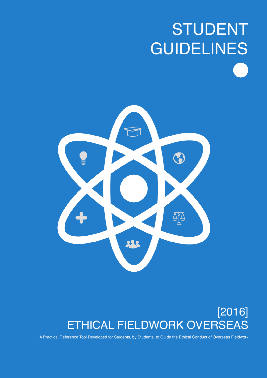# STUDENT GUIDELINES



# [2016] ETHICAL FIELDWORK OVERSEAS

A Practical Reference Tool Developed for Students, by Students, to Guide the Ethical Conduct of Overseas Fieldwork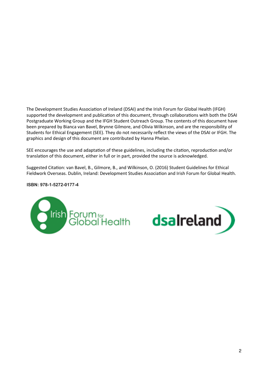The Development Studies Association of Ireland (DSAI) and the Irish Forum for Global Health (IFGH) supported the development and publication of this document, through collaborations with both the DSAI Postgraduate Working Group and the IFGH Student Outreach Group. The contents of this document have been prepared by Bianca van Bavel, Brynne Gilmore, and Olivia Wilkinson, and are the responsibility of Students for Ethical Engagement (SEE). They do not necessarily reflect the views of the DSAI or IFGH. The graphics and design of this document are contributed by Hanna Phelan.

SEE encourages the use and adaptation of these guidelines, including the citation, reproduction and/or translation of this document, either in full or in part, provided the source is acknowledged.

Suggested Citation: van Bavel, B., Gilmore, B., and Wilkinson, O. (2016) Student Guidelines for Ethical Fieldwork Overseas. Dublin, Ireland: Development Studies Association and Irish Forum for Global Health.

**ISBN: 978-1-5272-0177-4**



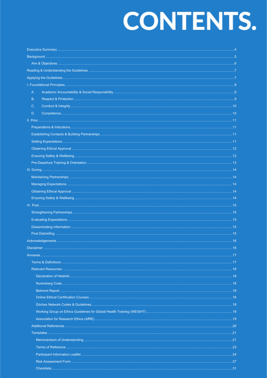# **CONTENTS.**

| А.         |    |
|------------|----|
| <b>B.</b>  |    |
| C.         |    |
| D.         |    |
|            |    |
|            |    |
|            |    |
|            |    |
|            |    |
|            |    |
|            |    |
|            |    |
|            |    |
|            |    |
|            |    |
|            |    |
|            |    |
|            |    |
|            |    |
|            |    |
|            |    |
|            |    |
|            |    |
|            |    |
|            |    |
|            |    |
|            |    |
|            |    |
|            |    |
|            |    |
|            |    |
|            |    |
|            |    |
|            |    |
|            |    |
|            |    |
|            |    |
|            |    |
|            |    |
| Chooklinto | 24 |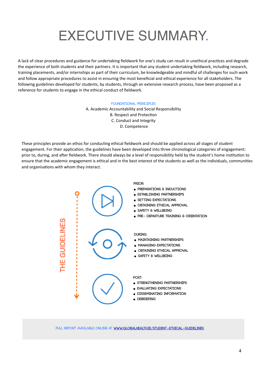# EXECUTIVE SUMMARY.

A lack of clear procedures and guidance for undertaking fieldwork for one's study can result in unethical practices and degrade the experience of both students and their partners. It is important that any student undertaking fieldwork, including research, training placements, and/or internships as part of their curriculum, be knowledgeable and mindful of challenges for such work and follow appropriate procedures to assist in ensuring the most beneficial and ethical experience for all stakeholders. The following guidelines developed for students, by students, through an extensive research process, have been proposed as a reference for students to engage in the ethical conduct of fieldwork.

#### **Foundational Principles**

A. Academic Accountability and Social Responsibility B. Respect and Protection C. Conduct and Integrity D. Competence

These principles provide an ethos for conducting ethical fieldwork and should be applied across all stages of student engagement. For their application, the guidelines have been developed into three chronological categories of engagement: prior to, during, and after fieldwork. There should always be a level of responsibility held by the student's home institution to ensure that the academic engagement is ethical and in the best interest of the students as well as the individuals, communities and organisations with whom they interact.



**Full report available online at [www.globalhealth.ie](http://www.globalhealth.ie/student-ethical-guidelines)/student-ethical-guidelines**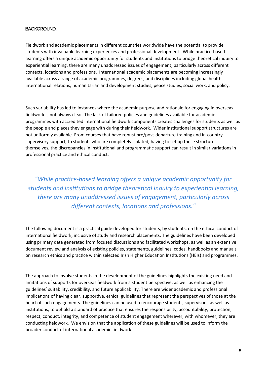## **Background.**

Fieldwork and academic placements in different countries worldwide have the potential to provide students with invaluable learning experiences and professional development. While practice-based learning offers a unique academic opportunity for students and institutions to bridge theoretical inquiry to experiential learning, there are many unaddressed issues of engagement, particularly across different contexts, locations and professions. International academic placements are becoming increasingly available across a range of academic programmes, degrees, and disciplines including global health, international relations, humanitarian and development studies, peace studies, social work, and policy.

Such variability has led to instances where the academic purpose and rationale for engaging in overseas fieldwork is not always clear. The lack of tailored policies and guidelines available for academic programmes with accredited international fieldwork components creates challenges for students as well as the people and places they engage with during their fieldwork. Wider institutional support structures are not uniformly available. From courses that have robust pre/post-departure training and in-country supervisory support, to students who are completely isolated, having to set up these structures themselves, the discrepancies in institutional and programmatic support can result in similar variations in professional practice and ethical conduct.

"While practice-based learning offers a unique academic opportunity for *students and institutions to bridge theoretical inquiry to experiential learning, there are many unaddressed issues of engagement, particularly across* different contexts, locations and professions."

The following document is a practical guide developed for students, by students, on the ethical conduct of international fieldwork, inclusive of study and research placements. The guidelines have been developed using primary data generated from focused discussions and facilitated workshops, as well as an extensive document review and analysis of existing policies, statements, guidelines, codes, handbooks and manuals on research ethics and practice within selected Irish Higher Education Institutions (HEIs) and programmes.

The approach to involve students in the development of the guidelines highlights the existing need and limitations of supports for overseas fieldwork from a student perspective, as well as enhancing the guidelines' suitability, credibility, and future applicability. There are wider academic and professional implications of having clear, supportive, ethical guidelines that represent the perspectives of those at the heart of such engagements. The guidelines can be used to encourage students, supervisors, as well as institutions, to uphold a standard of practice that ensures the responsibility, accountability, protection, respect, conduct, integrity, and competence of student engagement wherever, with whomever, they are conducting fieldwork. We envision that the application of these guidelines will be used to inform the broader conduct of international academic fieldwork.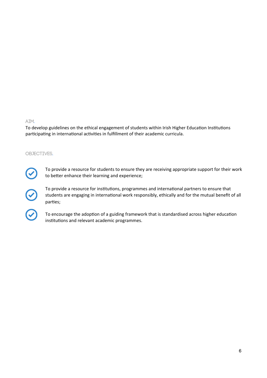#### AIM.

To develop guidelines on the ethical engagement of students within Irish Higher Education Institutions participating in international activities in fulfillment of their academic curricula.

#### OBJECTIVES.



 $\widehat{z}$ 

To provide a resource for students to ensure they are receiving appropriate support for their work to better enhance their learning and experience;

To provide a resource for institutions, programmes and international partners to ensure that students are engaging in international work responsibly, ethically and for the mutual benefit of all parties;

To encourage the adoption of a guiding framework that is standardised across higher education institutions and relevant academic programmes.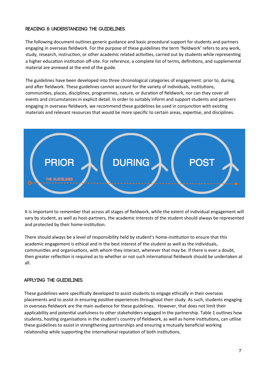# **Reading & Understanding the Guidelines.**

The following document outlines generic guidance and basic procedural support for students and partners engaging in overseas fieldwork. For the purpose of these guidelines the term 'fieldwork' refers to any work, study, research, instruction, or other academic related activities, carried out by students while representing a higher education institution off-site. For reference, a complete list of terms, definitions, and supplemental material are annexed at the end of the guide.

The guidelines have been developed into three chronological categories of engagement: prior to, during, and after fieldwork. These guidelines cannot account for the variety of individuals, institutions, communities, places, disciplines, programmes, nature, or duration of fieldwork, nor can they cover all events and circumstances in explicit detail. In order to suitably inform and support students and partners engaging in overseas fieldwork, we recommend these guidelines be used in conjunction with existing materials and relevant resources that would be more specific to certain areas, expertise, and disciplines.



It is important to remember that across all stages of fieldwork, while the extent of individual engagement will vary by student, as well as host-partners, the academic interests of the student should always be represented and protected by their home-institution.

There should always be a level of responsibility held by student's home-institution to ensure that this academic engagement is ethical and in the best interest of the student as well as the individuals, communities and organisations, with whom they interact, wherever that may be. If there is ever a doubt, then greater reflection is required as to whether or not such international fieldwork should be undertaken at all.

# **Applying the Guidelines.**

These guidelines were specifically developed to assist students to engage ethically in their overseas placements and to assist in ensuring positive experiences throughout their study. As such, students engaging in overseas fieldwork are the main audience for these guidelines. However, that does not limit their applicability and potential usefulness to other stakeholders engaged in the partnership. Table 1 outlines how students, hosting organisations in the student's country of fieldwork, as well as home institutions, can utilise these guidelines to assist in strengthening partnerships and ensuring a mutually beneficial working relationship while supporting the international reputation of both institutions.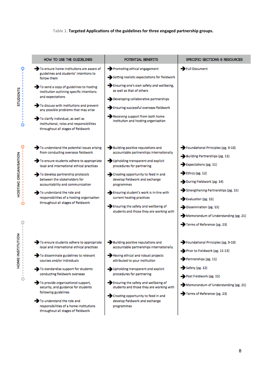# Table 1. Targeted Applications of the guidelines for three engaged partnership groups.

|                      | HOW TO USE THE GUIDELINES                                                                                            | POTENTIAL BENEFITS                                                                  | SPECIFIC SECTIONS & RESOURCES                                        |
|----------------------|----------------------------------------------------------------------------------------------------------------------|-------------------------------------------------------------------------------------|----------------------------------------------------------------------|
|                      | To ensure home institutions are aware of<br>guidelines and students' intentions to<br>follow them                    | Promoting ethical engagement<br>Setting realistic expectations for fieldwork        | Full Document                                                        |
| <b>STUDENTS</b>      | To send a copy of guidelines to hosting<br>institution outlining specific intentions<br>and expectations             | Ensuring one's own safety and wellbeing,<br>as well as that of others               |                                                                      |
|                      | To discuss with institutions and prevent<br>any possible problems that may arise                                     | Developing collaborative partnerships<br>Ensuring successful overseas fieldwork     |                                                                      |
|                      | To clarify individual, as well as<br>institutional, roles and responsibilities<br>throughout all stages of fieldwork | Receiving support from both home<br>institution and hosting organisation            |                                                                      |
|                      | To understand the potential issues arising<br>from conducting overseas fieldwork                                     | Building positive reputations and<br>accountable partnerships internationally       | Foundational Principles (pg. 9-10)<br>Building Partnerships (pg. 11) |
|                      | To ensure students adhere to appropriate<br>local and international ethical practices                                | Upholding transparent and explicit<br>procedures for partnering                     | Expectations (pg. 11)                                                |
| HOSTING ORGANISATION | To develop partnership protocols<br>between the stakeholders for                                                     | Creating opportunity to feed in and<br>develop fieldwork and exchange               | $\rightarrow$ Ethics (pg. 12)<br>During Fieldwork (pg. 14)           |
|                      | accountability and communication<br>To understand the role and                                                       | programmes<br>Ensuring student's work is in-line with                               | Strengthening Partnerships (pg. 15)                                  |
|                      | responsibilities of a hosting organisation<br>throughout all stages of fieldwork                                     | current hosting practices                                                           | Evaluation (pg. 15)                                                  |
|                      |                                                                                                                      | Ensuring the safety and wellbeing of<br>students and those they are working with    | $\rightarrow$ Dissemination (pg. 15)                                 |
|                      |                                                                                                                      |                                                                                     | Memorandum of Understanding (pg. 21)                                 |
|                      | To ensure students adhere to appropriate                                                                             | Building positive reputations and                                                   | Terms of Reference (pg. 23)<br>Foundational Principles (pg. 9-10)    |
| <b>NSTITUTION</b>    | local and international ethical practices                                                                            | accountable partnerships internationally                                            | Prior to Fieldwork (pg. 11-13)                                       |
| HOME1                | To disseminate guidelines to relevant<br>courses and/or individuals                                                  | Having ethical and robust projects<br>attributed to your institution                | Partnerships (pg. 11)                                                |
|                      | To standardise support for students<br>conducting fieldwork overseas                                                 | Upholding transparent and explicit<br>procedures for partnering                     | Safety (pg. 12)                                                      |
| $\circ$              | To provide organisational support,                                                                                   | Ensuring the safety and wellbeing of                                                | Post Fieldwork (pg. 15)                                              |
|                      | security, and guidance for students<br>following guidelines                                                          | students and those they are working with                                            | Memorandum of Understanding (pg. 21)<br>Terms of Reference (pg. 23)  |
|                      | To understand the role and<br>responsibilities of a home institutions<br>throughout all stages of fieldwork          | Creating opportunity to feed in and<br>develop fieldwork and exchange<br>programmes |                                                                      |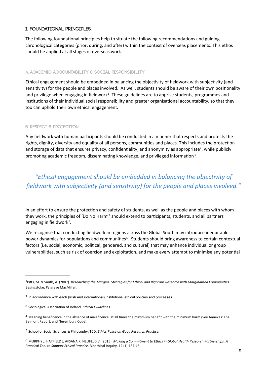## I. FOUNDATIONAL PRINCIPLES.

The following foundational principles help to situate the following recommendations and guiding chronological categories (prior, during, and after) within the context of overseas placements. This ethos should be applied at all stages of overseas work.

#### A. ACADEMIC ACCOUNTABILITY & SOCIAL RESPONSIBILITY

Ethical engagement should be embedded in balancing the objectivity of fieldwork with subjectivity (and sensitivity) for the people and places involved. As well, students should be aware of their own positionality and privilege when engaging in fieldwork<sup>1</sup>. These guidelines are to apprise students, programmes and institutions of their individual social responsibility and greater organisational accountability, so that they too can uphold their own ethical engagement.

#### **B. RESPECT & PROTECTION**

Any fieldwork with human participants should be conducted in a manner that respects and protects the rights, dignity, diversity and equality of all persons, communities and places. This includes the protection and storage of data that ensures privacy, confidentiality, and anonymity as appropriate<sup>2</sup>, while publicly promoting academic freedom, disseminating knowledge, and privileged information<sup>3</sup>.

# "Ethical engagement should be embedded in balancing the objectivity of fieldwork with subjectivity (and sensitivity) for the people and places involved."

In an effort to ensure the protection and safety of students, as well as the people and places with whom they work, the principles of 'Do No Harm'<sup>4</sup> should extend to participants, students, and all partners engaging in fieldwork<sup>5</sup>.

We recognise that conducting fieldwork in regions across the Global South may introduce inequitable power dynamics for populations and communities<sup>6</sup>. Students should bring awareness to certain contextual factors (i.e. social, economic, political, gendered, and cultural) that may enhance individual or group vulnerabilities, such as risk of coercion and exploitation, and make every attempt to minimise any potential

<span id="page-8-0"></span><sup>&</sup>lt;sup>1</sup>Pitts, M. & Smith, A. (2007). Researching the Margins: Strategies for Ethical and Rigorous Research with Marginalised Communities. Basingstoke: Palgrave MacMillan.

<span id="page-8-1"></span><sup>&</sup>lt;sup>2</sup> In accordance with each (Irish and international) institutions' ethical policies and processes.

<span id="page-8-2"></span><sup>&</sup>lt;sup>3</sup> Sociological Association of Ireland, *Ethical Guidelines*.

<span id="page-8-3"></span><sup>&</sup>lt;sup>4</sup> Meaning beneficence in the absence of maleficence, at all times the maximum benefit with the minimum harm (See Annexes: The Belmont Report, and Nuremburg Code).

<span id="page-8-4"></span><sup>&</sup>lt;sup>5</sup> School of Social Sciences & Philosophy, TCD, Ethics Policy on Good Research Practice.

<span id="page-8-5"></span><sup>6</sup> MURPHY J, HATFIELD J, AFSANA K, NEUFELD V. (2015). Making a Commitment to Ethics in Global Health Research Partnerships: A Practical Tool to Support Ethical Practice. Bioethical Inquiry. 12 (1):137-46.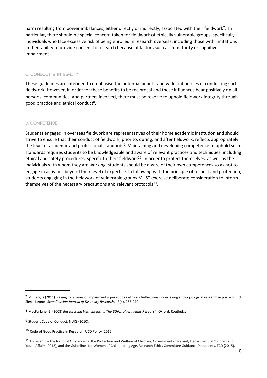harm resulting from power imbalances, either directly or indirectly, associated with their fieldwork<sup>7</sup>. In particular, there should be special concern taken for fieldwork of ethically vulnerable groups, specifically individuals who face excessive risk of being enrolled in research overseas, including those with limitations in their ability to provide consent to research because of factors such as immaturity or cognitive impairment.

#### C. CONDUCT & INTEGRITY

These guidelines are intended to emphasise the potential benefit and wider influences of conducting such fieldwork. However, in order for these benefits to be reciprocal and these influences bear positively on all persons, communities, and partners involved, there must be resolve to uphold fieldwork integrity through good practice and ethical conduct<sup>8</sup>.

#### **D. COMPETENCE**

Students engaged in overseas fieldwork are representatives of their home academic institution and should strive to ensure that their conduct of fieldwork, prior to, during, and after fieldwork, reflects appropriately the level of academic and professional standards<sup>9</sup>. Maintaining and developing competence to uphold such standards requires students to be knowledgeable and aware of relevant practices and techniques, including ethical and safety procedures, specific to their fieldwork<sup>10</sup>. In order to protect themselves, as well as the individuals with whom they are working, students should be aware of their own competences so as not to engage in activities beyond their level of expertise. In following with the principle of respect and protection, students engaging in the fieldwork of vulnerable groups MUST exercise deliberate consideration to inform themselves of the necessary precautions and relevant protocols<sup>11</sup>.

<span id="page-9-0"></span> $^7$  M. Berghs (2011) 'Paying for stories of impairment – parasitic or ethical? Reflections undertaking anthropological research in post-conflict Sierra Leone', Scandinavian Journal of Disability Research, 13(4), 255-270.

<span id="page-9-1"></span><sup>&</sup>lt;sup>8</sup> MacFarlane, B. (2008) Researching With Integrity: The Ethics of Academic Research. Oxford: Routledge.

<span id="page-9-2"></span><sup>&</sup>lt;sup>9</sup> Student Code of Conduct, NUIG (2010).

<span id="page-9-3"></span><sup>&</sup>lt;sup>10</sup> Code of Good Practice in Research, UCD Policy (2016).

<span id="page-9-4"></span><sup>&</sup>lt;sup>11</sup> For example the National Guidance for the Protection and Welfare of Children, Government of Ireland, Department of Children and Youth Affairs (2012); and the Guidelines for Women of Childbearing Age, Research Ethics Committee Guidance Documents, TCD (2015).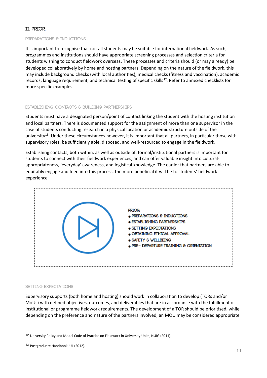# **II. PRIOR.**

#### **Preparations & Inductions**

It is important to recognise that not all students may be suitable for international fieldwork. As such, programmes and institutions should have appropriate screening processes and selection criteria for students wishing to conduct fieldwork overseas. These processes and criteria should (or may already) be developed collaboratively by home and hosting partners. Depending on the nature of the fieldwork, this may include background checks (with local authorities), medical checks (fitness and vaccination), academic records, language requirement, and technical testing of specific skills<sup>[12](#page-10-0)</sup>. Refer to annexed checklists for more specific examples.

#### **Establishing Contacts & Building Partnerships**

Students must have a designated person/point of contact linking the student with the hosting institution and local partners. There is documented support for the assignment of more than one supervisor in the case of students conducting research in a physical location or academic structure outside of the university<sup>[13](#page-10-1)</sup>. Under these circumstances however, it is important that all partners, in particular those with supervisory roles, be sufficiently able, disposed, and well-resourced to engage in the fieldwork.

Establishing contacts, both within, as well as outside of, formal/institutional partners is important for students to connect with their fieldwork experiences, and can offer valuable insight into culturalappropriateness, 'everyday' awareness, and logistical knowledge. The earlier that partners are able to equitably engage and feed into this process, the more beneficial it will be to students' fieldwork experience.



#### **Setting Expectations**

Supervisory supports (both home and hosting) should work in collaboration to develop (TORs and/or MoUs) with defined objectives, outcomes, and deliverables that are in accordance with the fulfillment of institutional or programme fieldwork requirements. The development of a TOR should be prioritised, while depending on the preference and nature of the partners involved, an MOU may be considered appropriate.

<span id="page-10-0"></span><sup>12</sup> University Policy and Model Code of Practice on Fieldwork in University Units, NUIG (2011).

<span id="page-10-1"></span><sup>13</sup> Postgraduate Handbook, UL (2012).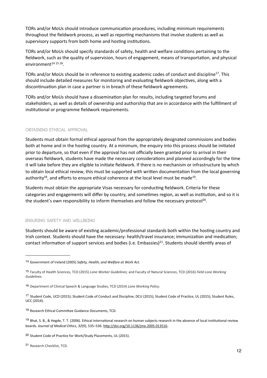TORs and/or MoUs should introduce communication procedures, including minimum requirements throughout the fieldwork process, as well as reporting mechanisms that involve students as well as supervisory supports from both home and hosting institutions.

TORs and/or MoUs should specify standards of safety, health and welfare conditions pertaining to the fieldwork, such as the quality of supervision, hours of engagement, means of transportation, and physical environment $14$  [15](#page-11-1) [16.](#page-11-2)

TORs and/or MoUs should be in reference to existing academic codes of conduct and discipline<sup>[17](#page-11-3)</sup>. This should include detailed measures for monitoring and evaluating fieldwork objectives, along with a discontinuation plan in case a partner is in breach of these fieldwork agreements.

TORs and/or MoUs should have a dissemination plan for results, including targeted forums and stakeholders, as well as details of ownership and authorship that are in accordance with the fulfillment of institutional or programme fieldwork requirements.

#### **Obtaining Ethical Approval**

Students must obtain formal ethical approval from the appropriately designated commissions and bodies both at home and in the hosting country. At a minimum, the enquiry into this process should be initiated prior to departure, so that even if the approval has not officially been granted prior to arrival in their overseas fieldwork, students have made the necessary considerations and planned accordingly for the time it will take before they are eligible to initiate fieldwork. If there is no mechanism or infrastructure by which to obtain local ethical review, this must be supported with written documentation from the local governing authority<sup>18</sup>, and efforts to ensure ethical coherence at the local level must be made<sup>[19](#page-11-5)</sup>.

Students must obtain the appropriate Visas necessary for conducting fieldwork. Criteria for these categories and engagements will differ by country, and sometimes region, as well as institution, and so it is the student's own responsibility to inform themselves and follow the necessary protocol<sup>[20](#page-11-6)</sup>.

#### **Ensuring Safety and Wellbeing**

Students should be aware of existing academic/professional standards both within the hosting country and Irish context. Students should have the necessary: health/travel insurance; immunization and medication; contact information of support services and bodies (i.e. Embassies)<sup>[21](#page-11-7)</sup>. Students should identify areas of

<span id="page-11-0"></span><sup>&</sup>lt;sup>14</sup> Government of Ireland (2005) Safety, Health, and Welfare at Work Act.

<span id="page-11-1"></span><sup>15</sup> Faculty of Health Sciences, TCD (2015) Lone Worker Guidelines; and Faculty of Natural Sciences, TCD (2016) Field Lone Working *Guidelines.*

<span id="page-11-2"></span><sup>&</sup>lt;sup>16</sup> Department of Clinical Speech & Language Studies, TCD (2014) Lone Working Policy.

<span id="page-11-3"></span><sup>17</sup> Student Code, UCD (2015); Student Code of Conduct and Discipline, DCU (2015); Student Code of Practice, UL (2015); Student Rules, UCC (2014).

<span id="page-11-4"></span><sup>18</sup> Research Ethical Committee Guidance Documents, TCD.

<span id="page-11-5"></span><sup>19</sup> Bhat, S. B., & Hegde, T. T. (2006). Ethical international research on human subjects research in the absence of local institutional review boards. Journal of Medical Ethics, 32(9), 535–536. http://doi.org/10.1136/jme.2005.013516.

<span id="page-11-6"></span><sup>&</sup>lt;sup>20</sup> Student Code of Practice for Work/Study Placements, UL (2015).

<span id="page-11-7"></span><sup>21</sup> Research Checklist, TCD.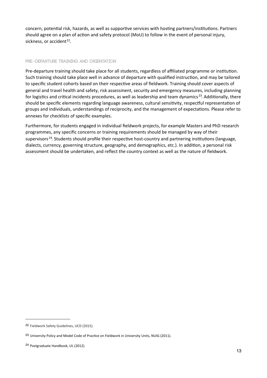concern, potential risk, hazards, as well as supportive services with hosting partners/institutions. Partners should agree on a plan of action and safety protocol (MoU) to follow in the event of personal injury, sickness, or accident<sup>22</sup>.

# **Pre-Departure Training and Orientation**

Pre-departure training should take place for all students, regardless of affiliated programme or institution. Such training should take place well in advance of departure with qualified instruction, and may be tailored to specific student cohorts based on their respective areas of fieldwork. Training should cover aspects of general and travel health and safety, risk assessment, security and emergency measures, including planning for logistics and critical incidents procedures, as well as leadership and team dynamics<sup>[23](#page-12-1)</sup>. Additionally, there should be specific elements regarding language awareness, cultural sensitivity, respectful representation of groups and individuals, understandings of reciprocity, and the management of expectations. Please refer to annexes for checklists of specific examples.

Furthermore, for students engaged in individual fieldwork projects, for example Masters and PhD research programmes, any specific concerns or training requirements should be managed by way of their supervisors  $24$ . Students should profile their respective host-country and partnering institutions (language, dialects, currency, governing structure, geography, and demographics, etc.). In addition, a personal risk assessment should be undertaken, and reflect the country context as well as the nature of fieldwork.

<span id="page-12-0"></span><sup>22</sup> Fieldwork Safety Guidelines, UCD (2015).

<span id="page-12-1"></span><sup>&</sup>lt;sup>23</sup> University Policy and Model Code of Practice on Fieldwork in University Units, NUIG (2011).

<span id="page-12-2"></span><sup>24</sup> Postgraduate Handbook, UL (2012).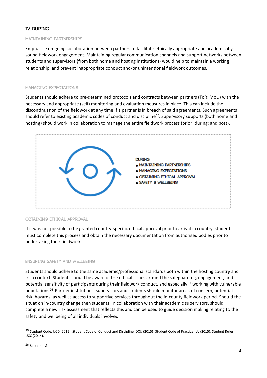# IV. DURING.

#### **MAINTAINING PARTNERSHIPS**

Emphasise on-going collaboration between partners to facilitate ethically appropriate and academically sound fieldwork engagement. Maintaining regular communication channels and support networks between students and supervisors (from both home and hosting institutions) would help to maintain a working relationship, and prevent inappropriate conduct and/or unintentional fieldwork outcomes.

#### **MANAGING EXPECTATIONS**

Students should adhere to pre-determined protocols and contracts between partners (ToR: MoU) with the necessary and appropriate (self) monitoring and evaluation measures in place. This can include the discontinuation of the fieldwork at any time if a partner is in breach of said agreements. Such agreements should refer to existing academic codes of conduct and discipline<sup>25</sup>. Supervisory supports (both home and hosting) should work in collaboration to manage the entire fieldwork process (prior; during; and post).



#### OBTAINING ETHICAL APPROVAL

If it was not possible to be granted country-specific ethical approval prior to arrival in country, students must complete this process and obtain the necessary documentation from authorised bodies prior to undertaking their fieldwork.

#### ENSURING SAFETY AND WELLBEING

Students should adhere to the same academic/professional standards both within the hosting country and Irish context. Students should be aware of the ethical issues around the safeguarding, engagement, and potential sensitivity of participants during their fieldwork conduct, and especially if working with vulnerable populations<sup>26</sup>. Partner institutions, supervisors and students should monitor areas of concern, potential risk, hazards, as well as access to supportive services throughout the in-county fieldwork period. Should the situation in-country change then students, in collaboration with their academic supervisors, should complete a new risk assessment that reflects this and can be used to guide decision making relating to the safety and wellbeing of all individuals involved.

<span id="page-13-1"></span><span id="page-13-0"></span><sup>&</sup>lt;sup>25</sup> Student Code, UCD (2015); Student Code of Conduct and Discipline, DCU (2015); Student Code of Practice, UL (2015); Student Rules, UCC (2014).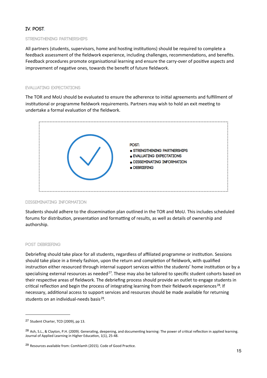# **IV. POST.**

#### **STRENGTHENING PARTNERSHIPS**

All partners (students, supervisors, home and hosting institutions) should be required to complete a feedback assessment of the fieldwork experience, including challenges, recommendations, and benefits. Feedback procedures promote organisational learning and ensure the carry-over of positive aspects and improvement of negative ones, towards the benefit of future fieldwork.

#### **EVALUATING EXPECTATIONS**

The TOR and MoU should be evaluated to ensure the adherence to initial agreements and fulfillment of institutional or programme fieldwork requirements. Partners may wish to hold an exit meeting to undertake a formal evaluation of the fieldwork.



#### **DISSEMINATING INFORMATION**

Students should adhere to the dissemination plan outlined in the TOR and MoU. This includes scheduled forums for distribution, presentation and formatting of results, as well as details of ownership and authorship.

#### **POST DEBRIEFING**

Debriefing should take place for all students, regardless of affiliated programme or institution. Sessions should take place in a timely fashion, upon the return and completion of fieldwork, with qualified instruction either resourced through internal support services within the students' home institution or by a specialising external resources as needed<sup>27</sup>. These may also be tailored to specific student cohorts based on their respective areas of fieldwork. The debriefing process should provide an outlet to engage students in critical reflection and begin the process of integrating learning from their fieldwork experiences<sup>28</sup>. If necessary, additional access to support services and resources should be made available for returning students on an individual-needs basis<sup>29</sup>.

<span id="page-14-0"></span><sup>&</sup>lt;sup>27</sup> Student Charter, TCD (2009), pp 13.

<span id="page-14-1"></span><sup>&</sup>lt;sup>28</sup> Ash, S.L., & Clayton, P.H. (2009). Generating, deepening, and documenting learning: The power of critical reflection in applied learning. Journal of Applied Learning in Higher Education, 1(1), 25-48.

<span id="page-14-2"></span><sup>&</sup>lt;sup>29</sup> Resources available from: Comhlamh (2015). Code of Good Practice.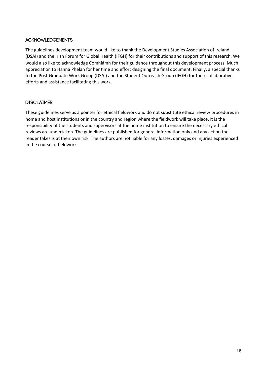# ACKNOWLEDGEMENTS.

The guidelines development team would like to thank the Development Studies Association of Ireland (DSAI) and the Irish Forum for Global Health (IFGH) for their contributions and support of this research. We would also like to acknowledge Comhlámh for their guidance throughout this development process. Much appreciation to Hanna Phelan for her time and effort designing the final document. Finally, a special thanks to the Post-Graduate Work Group (DSAI) and the Student Outreach Group (IFGH) for their collaborative efforts and assistance facilitating this work.

# **DISCLATMER**

These guidelines serve as a pointer for ethical fieldwork and do not substitute ethical review procedures in home and host institutions or in the country and region where the fieldwork will take place. It is the responsibility of the students and supervisors at the home institution to ensure the necessary ethical reviews are undertaken. The guidelines are published for general information only and any action the reader takes is at their own risk. The authors are not liable for any losses, damages or injuries experienced in the course of fieldwork.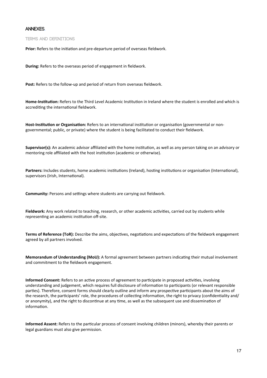#### **ANNEXES.**

**TERMS AND DEFINITIONS** 

Prior: Refers to the initiation and pre-departure period of overseas fieldwork.

During: Refers to the overseas period of engagement in fieldwork.

Post: Refers to the follow-up and period of return from overseas fieldwork.

Home-Institution: Refers to the Third Level Academic Institution in Ireland where the student is enrolled and which is accrediting the international fieldwork.

Host-Institution or Organisation: Refers to an international institution or organisation (governmental or nongovernmental; public, or private) where the student is being facilitated to conduct their fieldwork.

Supervisor(s): An academic advisor affiliated with the home institution, as well as any person taking on an advisory or mentoring role affiliated with the host institution (academic or otherwise).

Partners: Includes students, home academic institutions (Ireland), hosting institutions or organisation (International), supervisors (Irish, International).

Community: Persons and settings where students are carrying out fieldwork.

Fieldwork: Any work related to teaching, research, or other academic activities, carried out by students while representing an academic institution off-site.

Terms of Reference (ToR): Describe the aims, objectives, negotiations and expectations of the fieldwork engagement agreed by all partners involved.

Memorandum of Understanding (MoU): A formal agreement between partners indicating their mutual involvement and commitment to the fieldwork engagement.

Informed Consent: Refers to an active process of agreement to participate in proposed activities, involving understanding and judgement, which requires full disclosure of information to participants (or relevant responsible parties). Therefore, consent forms should clearly outline and inform any prospective participants about the aims of the research, the participants' role, the procedures of collecting information, the right to privacy (confidentiality and/ or anonymity), and the right to discontinue at any time, as well as the subsequent use and dissemination of information.

Informed Assent: Refers to the particular process of consent involving children (minors), whereby their parents or legal guardians must also give permission.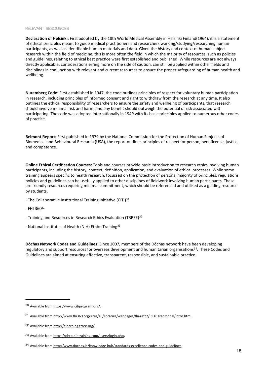#### RELEVANT RESOURCES

Declaration of Helsinki: First adopted by the 18th World Medical Assembly in Helsinki Finland(1964), it is a statement of ethical principles meant to guide medical practitioners and researchers working/studying/researching human participants, as well as identifiable human materials and data. Given the history and context of human subject research within the field of medicine, this is more often the field in which the majority of resources, such as policies and guidelines, relating to ethical best practice were first established and published. While resources are not always directly applicable, considerations erring more on the side of caution, can still be applied within other fields and disciplines in conjunction with relevant and current resources to ensure the proper safeguarding of human health and wellbeing.

Nuremberg Code: First established in 1947, the code outlines principles of respect for voluntary human participation in research, including principles of informed consent and right to withdraw from the research at any time. It also outlines the ethical responsibility of researchers to ensure the safety and wellbeing of participants, that research should involve minimal risk and harm, and any benefit should outweigh the potential of risk associated with participating. The code was adopted internationally in 1949 with its basic principles applied to numerous other codes of practice.

Belmont Report: First published in 1979 by the National Commission for the Protection of Human Subjects of Biomedical and Behavioural Research (USA), the report outlines principles of respect for person, beneficence, justice, and competence.

Online Ethical Certification Courses: Tools and courses provide basic introduction to research ethics involving human participants, including the history, context, definition, application, and evaluation of ethical processes. While some training appears specific to health research, focussed on the protection of persons, majority of principles, regulations, policies and guidelines can be usefully applied to other disciplines of fieldwork involving human participants. These are friendly resources requiring minimal commitment, which should be referenced and utilised as a guiding resource by students.

- The Collaborative Institutional Training Initiative (CITI)<sup>30</sup>
- $-$  FHI 360 $31$
- Training and Resources in Research Ethics Evaluation (TRREE)<sup>32</sup>
- National Institutes of Health (NIH) Ethics Training<sup>33</sup>

Dóchas Network Codes and Guidelines: Since 2007, members of the Dóchas network have been developing regulatory and support resources for overseas development and humanitarian organisations<sup>34</sup>. These Codes and Guidelines are aimed at ensuring effective, transparent, responsible, and sustainable practice.

<span id="page-17-0"></span><sup>30</sup> Available from https://www.citiprogram.org/.

<span id="page-17-1"></span><sup>&</sup>lt;sup>31</sup> Available from http://www.fhi360.org/sites/all/libraries/webpages/fhi-retc2/RETCTraditional/intro.html.

<span id="page-17-2"></span><sup>32</sup> Available from http://elearning.trree.org/.

<span id="page-17-3"></span><sup>33</sup> Available from https://phrp.nihtraining.com/users/login.php.

<span id="page-17-4"></span><sup>34</sup> Available from http://www.dochas.ie/knowledge-hub/standards-excellence-codes-and-guidelines.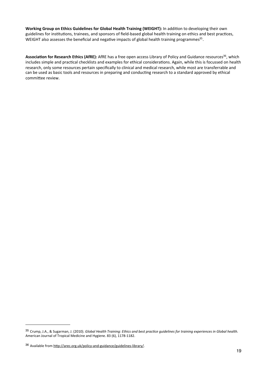Working Group on Ethics Guidelines for Global Health Training (WEIGHT): In addition to developing their own guidelines for institutions, trainees, and sponsors of field-based global health training on ethics and best practices. WEIGHT also assesses the beneficial and negative impacts of global health training programmes<sup>35</sup>.

Association for Research Ethics (AfRE): AfRE has a free open access Library of Policy and Guidance resources<sup>36</sup>, which includes simple and practical checklists and examples for ethical considerations. Again, while this is focussed on health research, only some resources pertain specifically to clinical and medical research, while most are transferrable and can be used as basic tools and resources in preparing and conducting research to a standard approved by ethical committee review.

<span id="page-18-0"></span><sup>&</sup>lt;sup>35</sup> Crump, J.A., & Sugarman, J. (2010). Global Health Training: Ethics and best practice guidelines for training experiences in Global health. American Journal of Tropical Medicine and Hygiene. 83 (6), 1178-1182.

<span id="page-18-1"></span><sup>36</sup> Available from http://arec.org.uk/policy-and-guidance/guidelines-library/.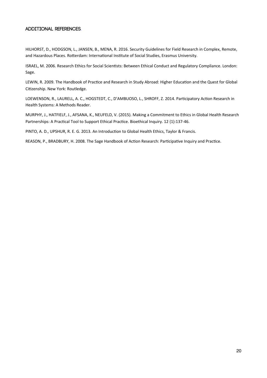## **Additional References.**

HILHORST, D., HODGSON, L., JANSEN, B., MENA, R. 2016. Security Guidelines for Field Research in Complex, Remote, and Hazardous Places. Rotterdam: International Institute of Social Studies, Erasmus University.

ISRAEL, M. 2006. Research Ethics for Social Scientists: Between Ethical Conduct and Regulatory Compliance. London: Sage.

LEWIN, R. 2009. The Handbook of Practice and Research in Study Abroad: Higher Education and the Quest for Global Citizenship. New York: Routledge.

LOEWENSON, R., LAURELL, A. C., HOGSTEDT, C., D'AMBUOSO, L., SHROFF, Z. 2014. Participatory Action Research in Health Systems: A Methods Reader.

MURPHY, J., HATFIELF, J., AFSANA, K., NEUFELD, V. (2015). Making a Commitment to Ethics in Global Health Research Partnerships: A Practical Tool to Support Ethical Practice. Bioethical Inquiry. 12 (1):137-46.

PINTO, A. D., UPSHUR, R. E. G. 2013. An Introduction to Global Health Ethics, Taylor & Francis.

REASON, P., BRADBURY, H. 2008. The Sage Handbook of Action Research: Participative Inquiry and Practice.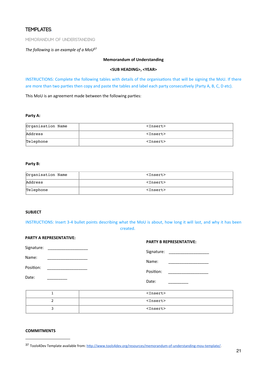# **TEMPLATES.**

MEMORANDUM OF UNDERSTANDING

The following is an example of a MoU<sup>37</sup>

#### **Memorandum of Understanding**

#### <SUB HEADING>, <YEAR>

INSTRUCTIONS: Complete the following tables with details of the organisations that will be signing the MoU. If there are more than two parties then copy and paste the tables and label each party consecutively (Party A, B, C, D etc).

This MoU is an agreement made between the following parties:

#### Party A:

| Organisation Name | <insert></insert> |
|-------------------|-------------------|
| Address           | $Insert$          |
| Telephone         | $Insert$          |

#### Party B:

| Organisation Name | <insert></insert> |
|-------------------|-------------------|
| Address           | $Insert$          |
| Telephone         | $Insert$          |

#### **SUBJECT**

INSTRUCTIONS: Insert 3-4 bullet points describing what the MoU is about, how long it will last, and why it has been created.

| <b>PARTY A REPRESENTATIVE:</b> | <b>PARTY B REPRESENTATIVE:</b>                                                                                                      |
|--------------------------------|-------------------------------------------------------------------------------------------------------------------------------------|
| Signature:                     | Signature:<br><u> 1989 - Johann Barn, mars and de Branch Barn, mars and de Branch Barn, mars and de Branch Barn, mars and de Br</u> |
| Name:                          | Name:                                                                                                                               |
| Position:                      |                                                                                                                                     |
| Date:                          | Position:<br><u> 2000 - 2000 - 2000 - 2000 - 2000 - 2000 - 2000 - 2000 - 2000 - 2000 - 2000 - 2000 - 2000 - 2000 - 2000 - 200</u>   |
|                                | Date:                                                                                                                               |
| 1                              | $<$ Insert>                                                                                                                         |
| 2                              | $Insert$                                                                                                                            |
| 3                              | $<$ Insert>                                                                                                                         |

#### **COMMITMENTS**

<span id="page-20-0"></span><sup>37</sup> Tools4Dev Template available from: http://www.tools4dev.org/resources/memorandum-of-understanding-mou-template/.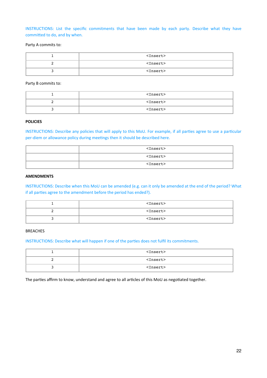INSTRUCTIONS: List the specific commitments that have been made by each party. Describe what they have committed to do, and by when.

#### Party A commits to:

| $<$ Insert $>$ |
|----------------|
| $<$ Insert $>$ |
| $Insert$       |

#### Party B commits to:

|  | $<$ Insert $>$    |
|--|-------------------|
|  | <insert></insert> |
|  | <insert></insert> |

#### **POLICIES**

INSTRUCTIONS: Describe any policies that will apply to this MoU. For example, if all parties agree to use a particular per-diem or allowance policy during meetings then it should be described here.

| $<$ Insert $>$    |
|-------------------|
| $<$ Insert $>$    |
| <insert></insert> |

#### **AMENDMENTS**

INSTRUCTIONS: Describe when this MoU can be amended (e.g. can it only be amended at the end of the period? What if all parties agree to the amendment before the period has ended?).

| $<$ Insert $>$ |
|----------------|
| $<$ Insert $>$ |
| $<$ Insert $>$ |

## **BREACHES**

INSTRUCTIONS: Describe what will happen if one of the parties does not fulfil its commitments.

| $<$ Insert $>$ |
|----------------|
| $<$ Insert $>$ |
| $<$ Insert>    |

The parties affirm to know, understand and agree to all articles of this MoU as negotiated together.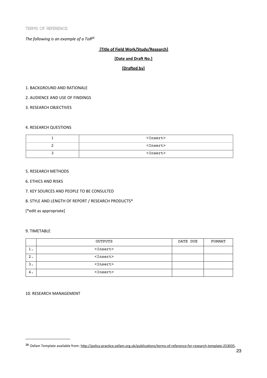The following is an example of a ToR<sup>38</sup>

#### [Title of Field Work/Study/Research]

#### [Date and Draft No.]

#### [Drafted by]

#### 1. BACKGROUND AND RATIONALE

2. AUDIENCE AND USE OF FINDINGS

3. RESEARCH OBJECTIVES

#### **4. RESEARCH QUESTIONS**

| $<$ Insert $>$    |
|-------------------|
| <insert></insert> |
| $<$ Insert $>$    |

#### 5. RESEARCH METHODS

- **6. ETHICS AND RISKS**
- 7. KEY SOURCES AND PEOPLE TO BE CONSULTED

#### 8. STYLE AND LENGTH OF REPORT / RESEARCH PRODUCTS\*

[\*edit as appropriate]

#### 9. TIMETABLE

|         | OUTPUTS        | DATE DUE | FORMAT |
|---------|----------------|----------|--------|
| . ـ     | $<$ Insert>    |          |        |
| ົ<br>٠. | $<$ Insert>    |          |        |
| з.      | $<$ Insert $>$ |          |        |
| 4.      | $<$ Insert>    |          |        |

#### 10. RESEARCH MANAGEMENT

<span id="page-22-0"></span><sup>38</sup> Oxfam Template available from: http://policy-practice.oxfam.org.uk/publications/terms-of-reference-for-research-template-253035.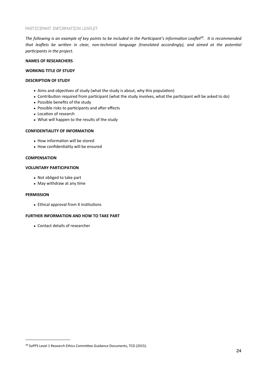The following is an example of key points to be included in the Participant's Information Leaflet<sup>39</sup>. It is recommended that leaflets be written in clear, non-technical language (translated accordingly), and aimed at the potential participants in the project.

#### **NAMES OF RESEARCHERS**

#### **WORKING TITLE OF STUDY**

#### **DESCRIPTION OF STUDY**

- Aims and objectives of study (what the study is about, why this population)
- Contribution required from participant (what the study involves, what the participant will be asked to do)
- Possible benefits of the study
- Possible risks to participants and after effects
- Location of research
- What will happen to the results of the study

#### **CONFIDENTIALITY OF INFORMATION**

- How information will be stored
- How confidentiality will be ensured

#### **COMPENSATION**

#### **VOLUNTARY PARTICIPATION**

- Not obliged to take part
- May withdraw at any time

#### **PERMISSION**

• Ethical approval from X institutions

#### **FURTHER INFORMATION AND HOW TO TAKE PART**

• Contact details of researcher

<span id="page-23-0"></span><sup>&</sup>lt;sup>39</sup> SoPPS Level 1 Research Ethics Committee Guidance Documents, TCD (2015).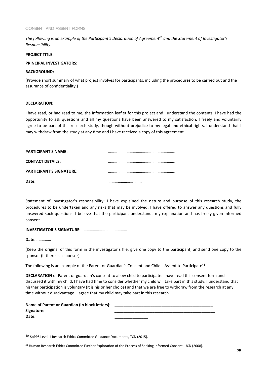#### **CONSENT AND ASSENT FORMS**

The following is an example of the Participant's Declaration of Agreement<sup>40</sup> and the Statement of Investigator's Responsibility.

#### **PROJECT TITLE:**

#### **PRINCIPAL INVESTIGATORS:**

#### **BACKGROUND:**

(Provide short summary of what project involves for participants, including the procedures to be carried out and the assurance of confidentiality.)

#### **DECLARATION:**

I have read, or had read to me, the information leaflet for this project and I understand the contents. I have had the opportunity to ask questions and all my questions have been answered to my satisfaction. I freely and voluntarily agree to be part of this research study, though without prejudice to my legal and ethical rights. I understand that I may withdraw from the study at any time and I have received a copy of this agreement.

| <b>PARTICIPANT'S NAME:</b>      |  |
|---------------------------------|--|
|                                 |  |
| <b>CONTACT DETAILS:</b>         |  |
| <b>PARTICIPANT'S SIGNATURE:</b> |  |
|                                 |  |
| Date:                           |  |

Statement of investigator's responsibility: I have explained the nature and purpose of this research study, the procedures to be undertaken and any risks that may be involved. I have offered to answer any questions and fully answered such questions. I believe that the participant understands my explanation and has freely given informed consent.

#### 

Date: **Date:** 

(Keep the original of this form in the investigator's file, give one copy to the participant, and send one copy to the sponsor (if there is a sponsor).

The following is an example of the Parent or Guardian's Consent and Child's Assent to Participate<sup>41</sup>.

DECLARATION of Parent or guardian's consent to allow child to participate: I have read this consent form and discussed it with my child. I have had time to consider whether my child will take part in this study. I understand that his/her participation is voluntary (it is his or her choice) and that we are free to withdraw from the research at any time without disadvantage. I agree that my child may take part in this research.

| Name of Parent or Guardian (in block letters): |  |
|------------------------------------------------|--|
| Signature:                                     |  |
| Date:                                          |  |

<span id="page-24-0"></span><sup>&</sup>lt;sup>40</sup> SoPPS Level 1 Research Ethics Committee Guidance Documents, TCD (2015).

<span id="page-24-1"></span><sup>&</sup>lt;sup>41</sup> Human Research Ethics Committee Further Exploration of the Process of Seeking Informed Consent, UCD (2008).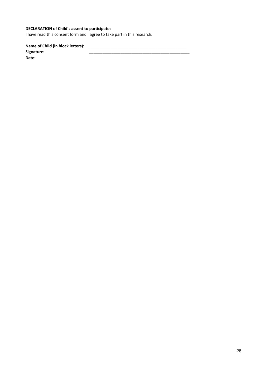# **DECLARATION of Child's assent to participate:**

I have read this consent form and I agree to take part in this research.

 $\overline{\phantom{0}}$ 

L,

Signature: Date:

 $\overline{\phantom{a}}$ 

÷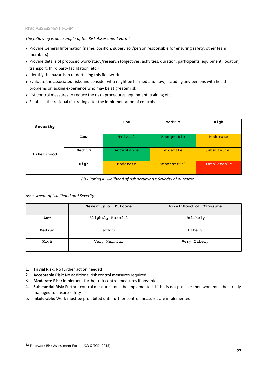#### **RISK ASSESSMENT FORM**

The following is an example of the Risk Assessment Form<sup>42</sup>

- Provide General Information (name, position, supervisor/person responsible for ensuring safety, other team members)
- Provide details of proposed work/study/research (objectives, activities, duration, participants, equipment, location, transport, third party facilitation, etc.)
- Identify the hazards in undertaking this fieldwork
- Evaluate the associated risks and consider who might be harmed and how, including any persons with health problems or lacking experience who may be at greater risk
- List control measures to reduce the risk procedures, equipment, training etc.
- Establish the residual risk rating after the implementation of controls

| Severity   |        | Low        | Medium      | High        |
|------------|--------|------------|-------------|-------------|
|            | Low    | Trivial    | Acceptable  | Moderate    |
| Likelihood | Medium | Acceptable | Moderate    | Substantial |
|            | High   | Moderate   | Substantial | Intolerable |

Risk Rating = Likelihood of risk occurring x Severity of outcome

#### Assessment of Likelihood and Severity:

|        | Severity of Outcome | Likelihood of Exposure |
|--------|---------------------|------------------------|
| Low    | Slightly Harmful    | Unlikely               |
| Medium | Harmful             | Likely                 |
| High   | Very Harmful        | Very Likely            |

- 1. Trivial Risk: No further action needed
- 2. Acceptable Risk: No additional risk control measures required
- 3. Moderate Risk: Implement further risk control measures if possible
- 4. Substantial Risk: Further control measures must be implemented. If this is not possible then work must be strictly managed to ensure safety
- 5. Intolerable: Work must be prohibited until further control measures are implemented

<span id="page-26-0"></span><sup>&</sup>lt;sup>42</sup> Fieldwork Risk Assessment Form, UCD & TCD (2015).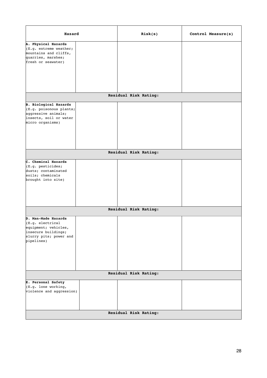| A. Physical Hazards<br>$ E.g.$ extreme weather;<br>mountains and cliffs,<br>quarries, marshes;<br>fresh or seawater)<br>Residual Risk Rating:<br><b>B.</b> Biological Hazards<br>$ E.g.$ poisonous plants;<br>aggressive animals;<br>insects, soil or water<br>micro organisms)<br>Residual Risk Rating:<br>C. Chemical Hazards<br>$ E.g.$ pesticides;<br>dusts; contaminated<br>soils; chemicals<br>brought into site)<br>Residual Risk Rating:<br>D. Man-Made Hazards<br>$ E.g.$ electrical<br>equipment; vehicles,<br>insecure buildings;<br>slurry pits; power and<br>pipelines)<br>Residual Risk Rating:<br><b>E. Personal Safety</b><br>$ E.g.$ lone working,<br>violence and aggression) | Hazard | Risk(s) | Control Measure(s) |
|-------------------------------------------------------------------------------------------------------------------------------------------------------------------------------------------------------------------------------------------------------------------------------------------------------------------------------------------------------------------------------------------------------------------------------------------------------------------------------------------------------------------------------------------------------------------------------------------------------------------------------------------------------------------------------------------------|--------|---------|--------------------|
|                                                                                                                                                                                                                                                                                                                                                                                                                                                                                                                                                                                                                                                                                                 |        |         |                    |
|                                                                                                                                                                                                                                                                                                                                                                                                                                                                                                                                                                                                                                                                                                 |        |         |                    |
|                                                                                                                                                                                                                                                                                                                                                                                                                                                                                                                                                                                                                                                                                                 |        |         |                    |
|                                                                                                                                                                                                                                                                                                                                                                                                                                                                                                                                                                                                                                                                                                 |        |         |                    |
|                                                                                                                                                                                                                                                                                                                                                                                                                                                                                                                                                                                                                                                                                                 |        |         |                    |
|                                                                                                                                                                                                                                                                                                                                                                                                                                                                                                                                                                                                                                                                                                 |        |         |                    |
|                                                                                                                                                                                                                                                                                                                                                                                                                                                                                                                                                                                                                                                                                                 |        |         |                    |
|                                                                                                                                                                                                                                                                                                                                                                                                                                                                                                                                                                                                                                                                                                 |        |         |                    |
|                                                                                                                                                                                                                                                                                                                                                                                                                                                                                                                                                                                                                                                                                                 |        |         |                    |
| Residual Risk Rating:                                                                                                                                                                                                                                                                                                                                                                                                                                                                                                                                                                                                                                                                           |        |         |                    |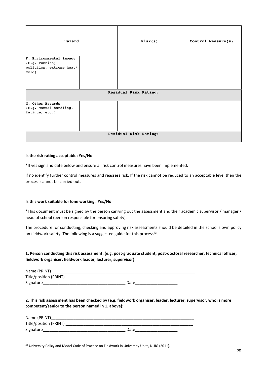| Hazard                                       |  | Risk(s) | Control Measure(s) |
|----------------------------------------------|--|---------|--------------------|
| F. Environmental Impact                      |  |         |                    |
| $ E.g.$ rubbish;<br>pollution, extreme heat/ |  |         |                    |
| $\vert$ cold $\vert$                         |  |         |                    |
|                                              |  |         |                    |
| Residual Risk Rating:                        |  |         |                    |
| G. Other Hazards                             |  |         |                    |
| $ E.g.$ manual handling,<br>fatigue, etc.)   |  |         |                    |
|                                              |  |         |                    |
|                                              |  |         |                    |
|                                              |  |         |                    |
| Residual Risk Rating:                        |  |         |                    |

#### Is the risk rating acceptable: Yes/No

\*If yes sign and date below and ensure all risk control measures have been implemented.

If no identify further control measures and reassess risk. If the risk cannot be reduced to an acceptable level then the process cannot be carried out.

#### Is this work suitable for lone working: Yes/No

\*This document must be signed by the person carrying out the assessment and their academic supervisor / manager / head of school (person responsible for ensuring safety).

The procedure for conducting, checking and approving risk assessments should be detailed in the school's own policy on fieldwork safety. The following is a suggested guide for this process<sup>43</sup>.

#### 1. Person conducting this risk assessment: (e.g. post-graduate student, post-doctoral researcher, technical officer, fieldwork organiser, fieldwork leader, lecturer, supervisor)

| Name (PRINT)           |      |  |
|------------------------|------|--|
| Title/position (PRINT) |      |  |
| Signature              | Date |  |

2. This risk assessment has been checked by (e.g. fieldwork organiser, leader, lecturer, supervisor, who is more competent/senior to the person named in 1. above):

| Name (PRINT)           |      |
|------------------------|------|
| Title/position (PRINT) |      |
| Signature              | Date |

<span id="page-28-0"></span><sup>&</sup>lt;sup>43</sup> University Policy and Model Code of Practice on Fieldwork in University Units, NUIG (2011).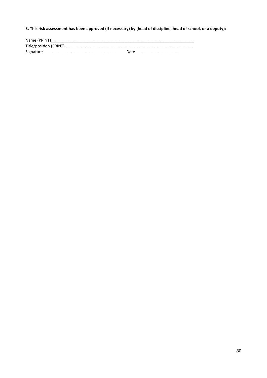# 3. This risk assessment has been approved (if necessary) by (head of discipline, head of school, or a deputy):

| Name (PRINT)           |      |
|------------------------|------|
| Title/position (PRINT) |      |
| Signature              | Date |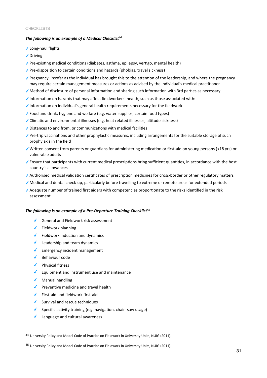#### CHECKI TSTS

#### The following is an example of a Medical Checklist<sup>44</sup>

- √ Long-haul flights
- ✔ Driving
- √ Pre-existing medical conditions (diabetes, asthma, epilepsy, vertigo, mental health)
- √ Pre-disposition to certain conditions and hazards (phobias, travel sickness)
- √ Pregnancy, insofar as the individual has brought this to the attention of the leadership, and where the pregnancy may require certain management measures or actions as advised by the individual's medical practitioner
- √ Method of disclosure of personal information and sharing such information with 3rd parties as necessary
- √ Information on hazards that may affect fieldworkers' health, such as those associated with:
- √ Information on individual's general health requirements necessary for the fieldwork
- √ Food and drink, hygiene and welfare (e.g. water supplies, certain food types)
- √ Climatic and environmental illnesses (e.g. heat related illnesses, altitude sickness)
- √ Distances to and from, or communications with medical facilities
- √ Pre-trip vaccinations and other prophylactic measures, including arrangements for the suitable storage of such prophylaxis in the field
- √ Written consent from parents or guardians for administering medication or first-aid on young persons (<18 yrs) or vulnerable adults
- √ Ensure that participants with current medical prescriptions bring sufficient quantities, in accordance with the host country's allowances
- √Authorised medical validation certificates of prescription medicines for cross-border or other regulatory matters
- √ Medical and dental check-up, particularly before travelling to extreme or remote areas for extended periods
- √ Adequate number of trained first aiders with competencies proportionate to the risks identified in the risk assessment

#### The following is an example of a Pre-Departure Training Checklist<sup>45</sup>

- $\sqrt{\phantom{a}}$  General and Fieldwork risk assessment
- $\sqrt{\phantom{a}}$  Fieldwork planning
- $\sqrt{\phantom{a}}$  Fieldwork induction and dynamics
- $\checkmark$  Leadership and team dynamics
- $\sqrt{\phantom{a}}$  Emergency incident management
- $\sqrt{\phantom{a}}$  Behaviour code
- $\checkmark$  Physical fitness
- $\sqrt{\phantom{a}}$  Equipment and instrument use and maintenance
- $\sqrt{\phantom{a}}$  Manual handling
- ◆ Preventive medicine and travel health
- $\checkmark$  First-aid and fieldwork first-aid
- ✔ Survival and rescue techniques
- Specific activity training (e.g. navigation, chain-saw usage)
- ↓ Language and cultural awareness

<span id="page-30-0"></span><sup>&</sup>lt;sup>44</sup> University Policy and Model Code of Practice on Fieldwork in University Units, NUIG (2011).

<span id="page-30-1"></span><sup>&</sup>lt;sup>45</sup> University Policy and Model Code of Practice on Fieldwork in University Units, NUIG (2011).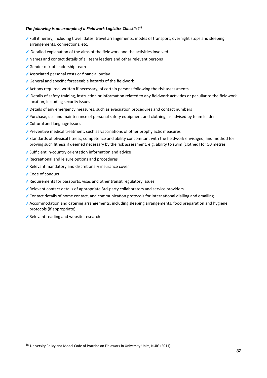#### The following is an example of a Fieldwork Logistics Checklist<sup>46</sup>

- √ Full itinerary, including travel dates, travel arrangements, modes of transport, overnight stops and sleeping arrangements, connections, etc.
- √ Detailed explanation of the aims of the fieldwork and the activities involved
- √ Names and contact details of all team leaders and other relevant persons
- √ Gender mix of leadership team
- √ Associated personal costs or financial outlay
- General and specific foreseeable hazards of the fieldwork
- √ Actions required, written if necessary, of certain persons following the risk assessments
- √ Details of safety training, instruction or information related to any fieldwork activities or peculiar to the fieldwork location, including security issues
- √ Details of any emergency measures, such as evacuation procedures and contact numbers
- √ Purchase, use and maintenance of personal safety equipment and clothing, as advised by team leader
- √ Cultural and language issues
- √ Preventive medical treatment, such as vaccinations of other prophylactic measures
- √ Standards of physical fitness, competence and ability concomitant with the fieldwork envisaged, and method for proving such fitness if deemed necessary by the risk assessment, e.g. ability to swim [clothed] for 50 metres
- √ Sufficient in-country orientation information and advice
- √ Recreational and leisure options and procedures
- √ Relevant mandatory and discretionary insurance cover
- √ Code of conduct
- √ Requirements for passports, visas and other transit regulatory issues
- √ Relevant contact details of appropriate 3rd-party collaborators and service providers
- √ Contact details of home contact, and communication protocols for international dialling and emailing
- √ Accommodation and catering arrangements, including sleeping arrangements, food preparation and hygiene protocols (if appropriate)
- √ Relevant reading and website research

<span id="page-31-0"></span><sup>&</sup>lt;sup>46</sup> University Policy and Model Code of Practice on Fieldwork in University Units, NUIG (2011).